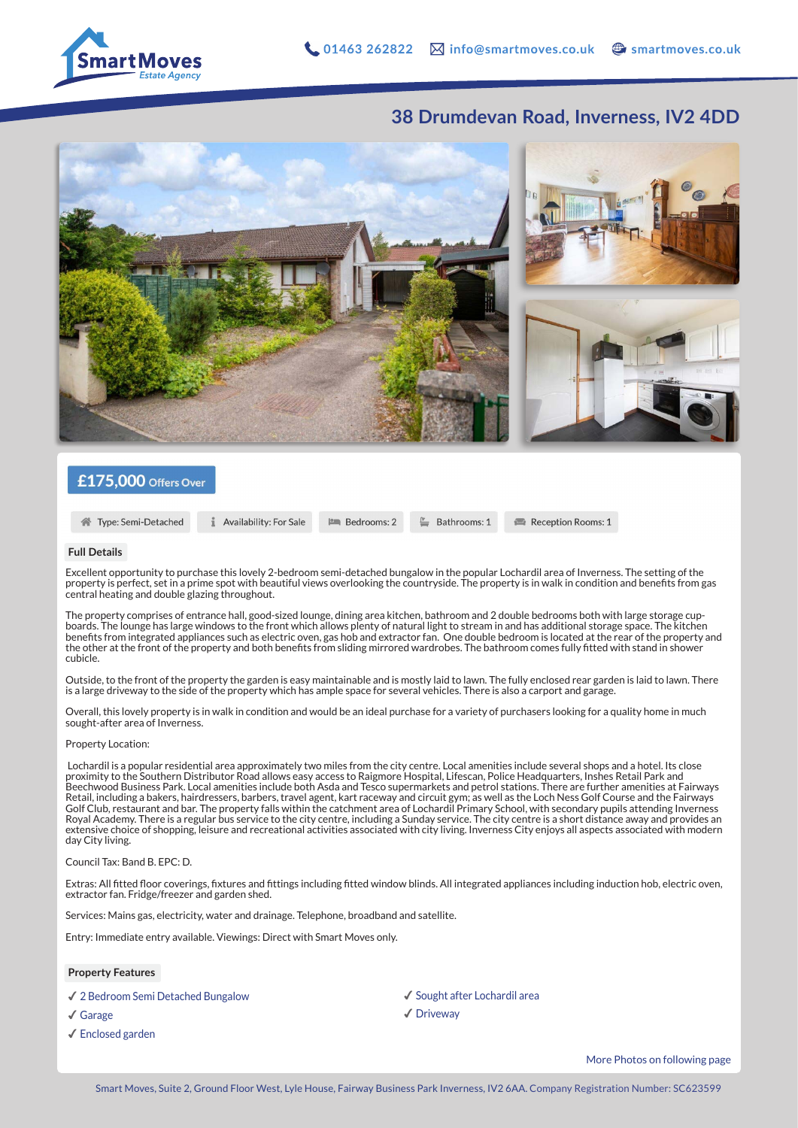

## **38 Drumdevan Road, Inverness, IV2 4DD**



### £175,000 Offers Over

Type: Semi-Detached

Availability: For Sale **PM** Bedrooms: 2

Bathrooms: 1

Reception Rooms: 1

#### **Full Details**

Excellent opportunity to purchase this lovely 2-bedroom semi-detached bungalow in the popular Lochardil area of Inverness. The setting of the property is perfect, set in a prime spot with beautiful views overlooking the countryside. The property is in walk in condition and benefits from gas central heating and double glazing throughout.

The property comprises of entrance hall, good-sized lounge, dining area kitchen, bathroom and 2 double bedrooms both with large storage cupboards. The lounge has large windows to the front which allows plenty of natural light to stream in and has additional storage space. The kitchen benefits from integrated appliances such as electric oven, gas hob and extractor fan. One double bedroom is located at the rear of the property and the other at the front of the property and both benefits from sliding mirrored wardrobes. The bathroom comes fully fitted with stand in shower cubicle.

Outside, to the front of the property the garden is easy maintainable and is mostly laid to lawn. The fully enclosed rear garden is laid to lawn. There is a large driveway to the side of the property which has ample space for several vehicles. There is also a carport and garage.

Overall, this lovely property is in walk in condition and would be an ideal purchase for a variety of purchasers looking for a quality home in much sought-after area of Inverness.

#### Property Location:

 Lochardil is a popular residential area approximately two miles from the city centre. Local amenities include several shops and a hotel. Its close proximity to the Southern Distributor Road allows easy access to Raigmore Hospital, Lifescan, Police Headquarters, Inshes Retail Park and<br>Beechwood Business Park. Local amenities include both Asda and Tesco supermarkets an Retail, including a bakers, hairdressers, barbers, travel agent, kart raceway and circuit gym; as well as the Loch Ness Golf Course and the Fairways Golf Club, restaurant and bar. The property falls within the catchment area of Lochardil Primary School, with secondary pupils attending Inverness Royal Academy. There is a regular bus service to the city centre, including a Sunday service. The city centre is a short distance away and provides an extensive choice of shopping, leisure and recreational activities associated with city living. Inverness City enjoys all aspects associated with modern day City living.

#### Council Tax: Band B. EPC: D.

Extras: All fitted floor coverings, fixtures and fittings including fitted window blinds. All integrated appliances including induction hob, electric oven, extractor fan. Fridge/freezer and garden shed.

Services: Mains gas, electricity, water and drainage. Telephone, broadband and satellite.

Entry: Immediate entry available. Viewings: Direct with Smart Moves only.

#### **Property Features**

✔︎ 2 Bedroom Semi Detached Bungalow

- ✔︎ Garage
- ✔︎ Enclosed garden

✔︎ Sought after Lochardil area ✔︎ Driveway

More Photos on following page